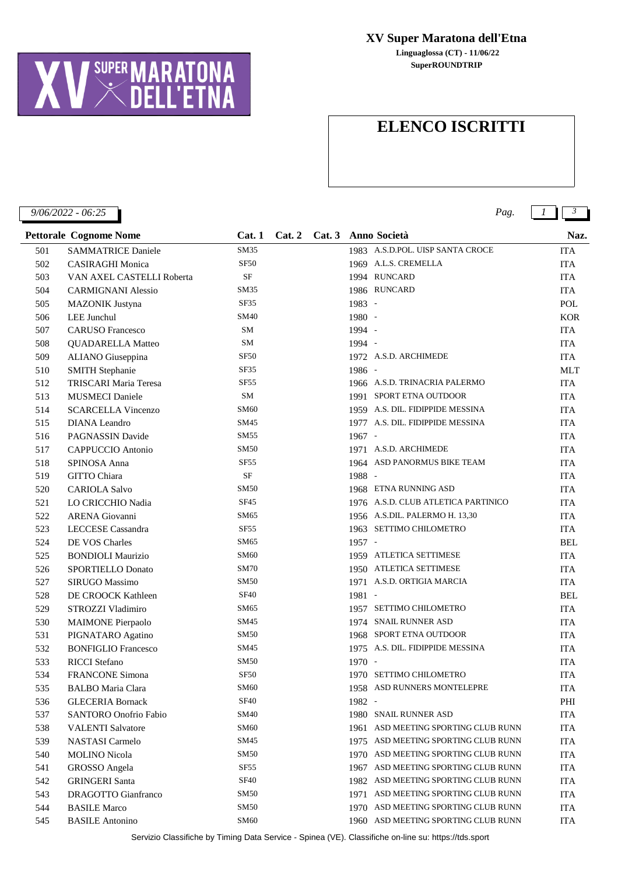

**SuperROUNDTRIP Linguaglossa (CT) - 11/06/22**

## **ELENCO ISCRITTI**

*9/06/2022 - 06:25 Pag. 1 3*

| <b>Pettorale Cognome Nome</b> |                              | Cat.1            | Cat.2 |          | Cat. 3 Anno Società                 | Naz.       |
|-------------------------------|------------------------------|------------------|-------|----------|-------------------------------------|------------|
| 501                           | <b>SAMMATRICE Daniele</b>    | SM35             |       |          | 1983 A.S.D.POL. UISP SANTA CROCE    | <b>ITA</b> |
| 502                           | <b>CASIRAGHI Monica</b>      | <b>SF50</b>      |       |          | 1969 A.L.S. CREMELLA                | <b>ITA</b> |
| 503                           | VAN AXEL CASTELLI Roberta    | <b>SF</b>        |       |          | 1994 RUNCARD                        | <b>ITA</b> |
| 504                           | <b>CARMIGNANI Alessio</b>    | SM35             |       |          | 1986 RUNCARD                        | ITA        |
| 505                           | <b>MAZONIK Justyna</b>       | SF35             |       | 1983 -   |                                     | POL        |
| 506                           | LEE Junchul                  | SM40             |       | 1980 -   |                                     | <b>KOR</b> |
| 507                           | <b>CARUSO Francesco</b>      | SM               |       | 1994 -   |                                     | ITA        |
| 508                           | <b>QUADARELLA Matteo</b>     | SM               |       | 1994 -   |                                     | <b>ITA</b> |
| 509                           | ALIANO Giuseppina            | <b>SF50</b>      |       |          | 1972 A.S.D. ARCHIMEDE               | <b>ITA</b> |
| 510                           | <b>SMITH Stephanie</b>       | SF35             |       | 1986 -   |                                     | <b>MLT</b> |
| 512                           | TRISCARI Maria Teresa        | <b>SF55</b>      |       |          | 1966 A.S.D. TRINACRIA PALERMO       | ITA        |
| 513                           | <b>MUSMECI</b> Daniele       | SM               |       |          | 1991 SPORT ETNA OUTDOOR             | <b>ITA</b> |
| 514                           | <b>SCARCELLA Vincenzo</b>    | SM60             |       |          | 1959 A.S. DIL. FIDIPPIDE MESSINA    | <b>ITA</b> |
| 515                           | <b>DIANA</b> Leandro         | SM45             |       |          | 1977 A.S. DIL. FIDIPPIDE MESSINA    | <b>ITA</b> |
| 516                           | <b>PAGNASSIN Davide</b>      | SM55             |       | $1967 -$ |                                     | <b>ITA</b> |
| 517                           | CAPPUCCIO Antonio            | SM50             |       |          | 1971 A.S.D. ARCHIMEDE               | <b>ITA</b> |
| 518                           | SPINOSA Anna                 | <b>SF55</b>      |       |          | 1964 ASD PANORMUS BIKE TEAM         | <b>ITA</b> |
| 519                           | GITTO Chiara                 | <b>SF</b>        |       | 1988 -   |                                     | <b>ITA</b> |
| 520                           | <b>CARIOLA Salvo</b>         | SM50             |       |          | 1968 ETNA RUNNING ASD               | <b>ITA</b> |
| 521                           | LO CRICCHIO Nadia            | SF45             |       |          | 1976 A.S.D. CLUB ATLETICA PARTINICO | <b>ITA</b> |
| 522                           | <b>ARENA</b> Giovanni        | SM65             |       |          | 1956 A.S.DIL. PALERMO H. 13,30      | <b>ITA</b> |
| 523                           | LECCESE Cassandra            | <b>SF55</b>      |       |          | 1963 SETTIMO CHILOMETRO             | <b>ITA</b> |
| 524                           | DE VOS Charles               | SM65             |       | 1957 -   |                                     | <b>BEL</b> |
| 525                           | <b>BONDIOLI Maurizio</b>     | SM60             |       |          | 1959 ATLETICA SETTIMESE             | <b>ITA</b> |
| 526                           | SPORTIELLO Donato            | <b>SM70</b>      |       |          | 1950 ATLETICA SETTIMESE             | <b>ITA</b> |
| 527                           | SIRUGO Massimo               | SM50             |       |          | 1971 A.S.D. ORTIGIA MARCIA          | <b>ITA</b> |
| 528                           | DE CROOCK Kathleen           | <b>SF40</b>      |       | 1981 -   |                                     | <b>BEL</b> |
| 529                           | STROZZI Vladimiro            | SM65             |       |          | 1957 SETTIMO CHILOMETRO             | <b>ITA</b> |
| 530                           | <b>MAIMONE</b> Pierpaolo     | SM45             |       |          | 1974 SNAIL RUNNER ASD               | <b>ITA</b> |
| 531                           | PIGNATARO Agatino            | SM50             |       |          | 1968 SPORT ETNA OUTDOOR             | <b>ITA</b> |
| 532                           | <b>BONFIGLIO Francesco</b>   | SM45             |       |          | 1975 A.S. DIL. FIDIPPIDE MESSINA    | <b>ITA</b> |
| 533                           | <b>RICCI</b> Stefano         | SM50             |       | $1970 -$ |                                     | <b>ITA</b> |
| 534                           | <b>FRANCONE Simona</b>       | <b>SF50</b>      |       |          | 1970 SETTIMO CHILOMETRO             | <b>ITA</b> |
| 535                           | <b>BALBO</b> Maria Clara     | <b>SM60</b>      |       |          | 1958 ASD RUNNERS MONTELEPRE         | <b>ITA</b> |
| 536                           | <b>GLECERIA Bornack</b>      | <b>SF40</b>      |       | 1982 -   |                                     | PHI        |
| 537                           | <b>SANTORO</b> Onofrio Fabio | SM40             |       |          | 1980 SNAIL RUNNER ASD               | <b>ITA</b> |
| 538                           | <b>VALENTI Salvatore</b>     | SM60             |       |          | 1961 ASD MEETING SPORTING CLUB RUNN | <b>ITA</b> |
| 539                           | NASTASI Carmelo              | SM45             |       |          | 1975 ASD MEETING SPORTING CLUB RUNN | <b>ITA</b> |
| 540                           | <b>MOLINO</b> Nicola         | SM50             |       |          | 1970 ASD MEETING SPORTING CLUB RUNN | <b>ITA</b> |
| 541                           | GROSSO Angela                | SF <sub>55</sub> |       | 1967     | ASD MEETING SPORTING CLUB RUNN      | <b>ITA</b> |
| 542                           | <b>GRINGERI Santa</b>        | <b>SF40</b>      |       |          | 1982 ASD MEETING SPORTING CLUB RUNN | <b>ITA</b> |
| 543                           | DRAGOTTO Gianfranco          | SM50             |       |          | 1971 ASD MEETING SPORTING CLUB RUNN | <b>ITA</b> |
| 544                           | <b>BASILE Marco</b>          | <b>SM50</b>      |       |          | 1970 ASD MEETING SPORTING CLUB RUNN | <b>ITA</b> |
| 545                           | <b>BASILE</b> Antonino       | <b>SM60</b>      |       |          | 1960 ASD MEETING SPORTING CLUB RUNN | <b>ITA</b> |

Servizio Classifiche by Timing Data Service - Spinea (VE). Classifiche on-line su: https://tds.sport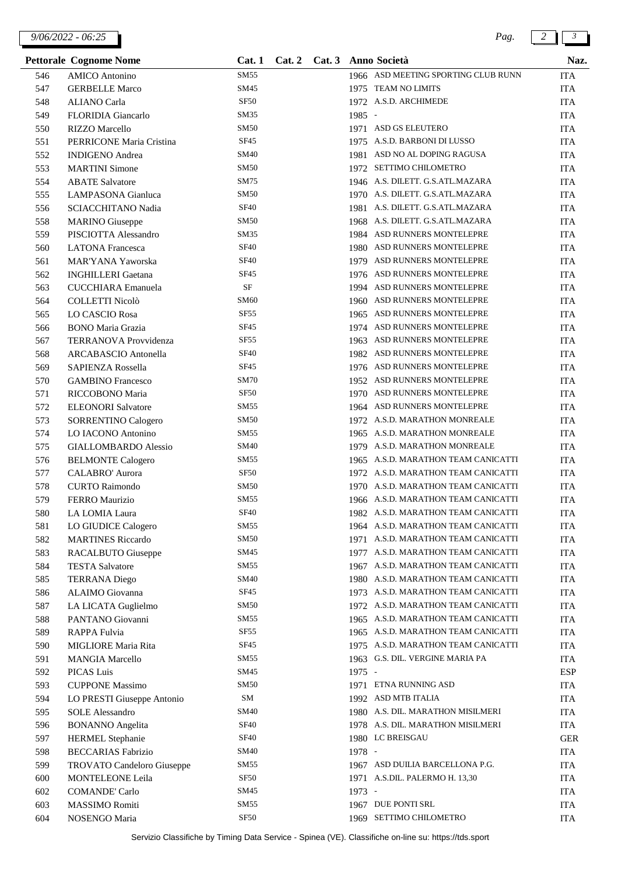*9/06/2022 - 06:25 Pag. 2 3*

|     | <b>Pettorale Cognome Nome</b>     | Cat.1            | Cat.2 |          | Cat. 3 Anno Società                 | Naz.       |
|-----|-----------------------------------|------------------|-------|----------|-------------------------------------|------------|
| 546 | <b>AMICO</b> Antonino             | SM55             |       |          | 1966 ASD MEETING SPORTING CLUB RUNN | <b>ITA</b> |
| 547 | <b>GERBELLE Marco</b>             | SM45             |       |          | 1975 TEAM NO LIMITS                 | <b>ITA</b> |
| 548 | <b>ALIANO</b> Carla               | <b>SF50</b>      |       |          | 1972 A.S.D. ARCHIMEDE               | <b>ITA</b> |
| 549 | FLORIDIA Giancarlo                | SM35             |       | 1985 -   |                                     | <b>ITA</b> |
| 550 | <b>RIZZO</b> Marcello             | <b>SM50</b>      |       |          | 1971 ASD GS ELEUTERO                | <b>ITA</b> |
| 551 | PERRICONE Maria Cristina          | SF45             |       |          | 1975 A.S.D. BARBONI DI LUSSO        | <b>ITA</b> |
| 552 | <b>INDIGENO</b> Andrea            | SM40             |       |          | 1981 ASD NO AL DOPING RAGUSA        | <b>ITA</b> |
| 553 | <b>MARTINI</b> Simone             | <b>SM50</b>      |       |          | 1972 SETTIMO CHILOMETRO             | <b>ITA</b> |
| 554 | <b>ABATE</b> Salvatore            | SM75             |       |          | 1946 A.S. DILETT. G.S.ATL.MAZARA    | <b>ITA</b> |
| 555 | <b>LAMPASONA</b> Gianluca         | <b>SM50</b>      |       |          | 1970 A.S. DILETT. G.S.ATL.MAZARA    | <b>ITA</b> |
| 556 | SCIACCHITANO Nadia                | <b>SF40</b>      |       | 1981     | A.S. DILETT. G.S.ATL.MAZARA         | <b>ITA</b> |
| 558 | <b>MARINO</b> Giuseppe            | <b>SM50</b>      |       |          | 1968 A.S. DILETT. G.S. ATL. MAZARA  | <b>ITA</b> |
| 559 | PISCIOTTA Alessandro              | SM35             |       |          | 1984 ASD RUNNERS MONTELEPRE         | <b>ITA</b> |
| 560 | <b>LATONA</b> Francesca           | <b>SF40</b>      |       |          | 1980 ASD RUNNERS MONTELEPRE         | <b>ITA</b> |
| 561 | MAR'YANA Yaworska                 | <b>SF40</b>      |       |          | 1979 ASD RUNNERS MONTELEPRE         | <b>ITA</b> |
| 562 | <b>INGHILLERI</b> Gaetana         | SF45             |       |          | 1976 ASD RUNNERS MONTELEPRE         | <b>ITA</b> |
| 563 | <b>CUCCHIARA</b> Emanuela         | $\rm{SF}$        |       |          | 1994 ASD RUNNERS MONTELEPRE         | <b>ITA</b> |
| 564 | COLLETTI Nicolò                   | SM60             |       |          | 1960 ASD RUNNERS MONTELEPRE         | <b>ITA</b> |
| 565 | LO CASCIO Rosa                    | SF <sub>55</sub> |       |          | 1965 ASD RUNNERS MONTELEPRE         | <b>ITA</b> |
| 566 | <b>BONO</b> Maria Grazia          | SF45             |       |          | 1974 ASD RUNNERS MONTELEPRE         | <b>ITA</b> |
| 567 | <b>TERRANOVA</b> Provvidenza      | SF55             |       |          | 1963 ASD RUNNERS MONTELEPRE         | <b>ITA</b> |
| 568 | ARCABASCIO Antonella              | <b>SF40</b>      |       |          | 1982 ASD RUNNERS MONTELEPRE         | <b>ITA</b> |
| 569 | SAPIENZA Rossella                 | SF45             |       |          | 1976 ASD RUNNERS MONTELEPRE         | <b>ITA</b> |
| 570 | <b>GAMBINO</b> Francesco          | <b>SM70</b>      |       |          | 1952 ASD RUNNERS MONTELEPRE         | <b>ITA</b> |
| 571 | RICCOBONO Maria                   | <b>SF50</b>      |       |          | 1970 ASD RUNNERS MONTELEPRE         | <b>ITA</b> |
| 572 | <b>ELEONORI</b> Salvatore         | SM55             |       |          | 1964 ASD RUNNERS MONTELEPRE         | <b>ITA</b> |
| 573 | SORRENTINO Calogero               | SM50             |       |          | 1972 A.S.D. MARATHON MONREALE       | <b>ITA</b> |
| 574 | LO IACONO Antonino                | SM55             |       |          | 1965 A.S.D. MARATHON MONREALE       | <b>ITA</b> |
| 575 | <b>GIALLOMBARDO Alessio</b>       | SM40             |       | 1979     | A.S.D. MARATHON MONREALE            | <b>ITA</b> |
| 576 | <b>BELMONTE Calogero</b>          | SM55             |       |          | 1965 A.S.D. MARATHON TEAM CANICATTI | <b>ITA</b> |
| 577 | CALABRO' Aurora                   | <b>SF50</b>      |       |          | 1972 A.S.D. MARATHON TEAM CANICATTI | <b>ITA</b> |
| 578 | <b>CURTO Raimondo</b>             | <b>SM50</b>      |       |          | 1970 A.S.D. MARATHON TEAM CANICATTI | <b>ITA</b> |
| 579 | <b>FERRO</b> Maurizio             | SM55             |       |          | 1966 A.S.D. MARATHON TEAM CANICATTI | <b>ITA</b> |
| 580 | LA LOMIA Laura                    | <b>SF40</b>      |       |          | 1982 A.S.D. MARATHON TEAM CANICATTI | <b>ITA</b> |
| 581 | LO GIUDICE Calogero               | SM55             |       |          | 1964 A.S.D. MARATHON TEAM CANICATTI | <b>ITA</b> |
| 582 | <b>MARTINES</b> Riccardo          | <b>SM50</b>      |       |          | 1971 A.S.D. MARATHON TEAM CANICATTI | <b>ITA</b> |
| 583 | RACALBUTO Giuseppe                | SM45             |       |          | 1977 A.S.D. MARATHON TEAM CANICATTI | <b>ITA</b> |
| 584 | <b>TESTA Salvatore</b>            | SM55             |       |          | 1967 A.S.D. MARATHON TEAM CANICATTI | <b>ITA</b> |
| 585 | <b>TERRANA</b> Diego              | SM40             |       |          | 1980 A.S.D. MARATHON TEAM CANICATTI | <b>ITA</b> |
| 586 | ALAIMO Giovanna                   | SF <sub>45</sub> |       |          | 1973 A.S.D. MARATHON TEAM CANICATTI | <b>ITA</b> |
| 587 | LA LICATA Guglielmo               | <b>SM50</b>      |       |          | 1972 A.S.D. MARATHON TEAM CANICATTI | <b>ITA</b> |
| 588 | PANTANO Giovanni                  | SM55             |       |          | 1965 A.S.D. MARATHON TEAM CANICATTI | <b>ITA</b> |
| 589 | RAPPA Fulvia                      | SF <sub>55</sub> |       |          | 1965 A.S.D. MARATHON TEAM CANICATTI | <b>ITA</b> |
| 590 | MIGLIORE Maria Rita               | SF <sub>45</sub> |       |          | 1975 A.S.D. MARATHON TEAM CANICATTI | <b>ITA</b> |
| 591 | <b>MANGIA Marcello</b>            | SM55             |       |          | 1963 G.S. DIL. VERGINE MARIA PA     | <b>ITA</b> |
| 592 | PICAS Luis                        | SM45             |       | $1975 -$ |                                     | <b>ESP</b> |
| 593 | <b>CUPPONE Massimo</b>            | <b>SM50</b>      |       |          | 1971 ETNA RUNNING ASD               | <b>ITA</b> |
| 594 | LO PRESTI Giuseppe Antonio        | SM               |       |          | 1992 ASD MTB ITALIA                 | <b>ITA</b> |
| 595 | <b>SOLE</b> Alessandro            | SM40             |       |          | 1980 A.S. DIL. MARATHON MISILMERI   | <b>ITA</b> |
| 596 | <b>BONANNO</b> Angelita           | <b>SF40</b>      |       |          | 1978 A.S. DIL. MARATHON MISILMERI   | <b>ITA</b> |
| 597 | <b>HERMEL</b> Stephanie           | <b>SF40</b>      |       |          | 1980 LC BREISGAU                    | <b>GER</b> |
| 598 | <b>BECCARIAS Fabrizio</b>         | <b>SM40</b>      |       | 1978 -   |                                     | <b>ITA</b> |
| 599 | <b>TROVATO Candeloro Giuseppe</b> | SM55             |       |          | 1967 ASD DUILIA BARCELLONA P.G.     | <b>ITA</b> |
| 600 | MONTELEONE Leila                  | <b>SF50</b>      |       |          | 1971 A.S.DIL. PALERMO H. 13,30      | <b>ITA</b> |
| 602 | <b>COMANDE' Carlo</b>             | SM45             |       | 1973 -   |                                     | <b>ITA</b> |
| 603 | <b>MASSIMO Romiti</b>             | SM55             |       |          | 1967 DUE PONTI SRL                  | <b>ITA</b> |
| 604 | NOSENGO Maria                     | <b>SF50</b>      |       |          | 1969 SETTIMO CHILOMETRO             | <b>ITA</b> |